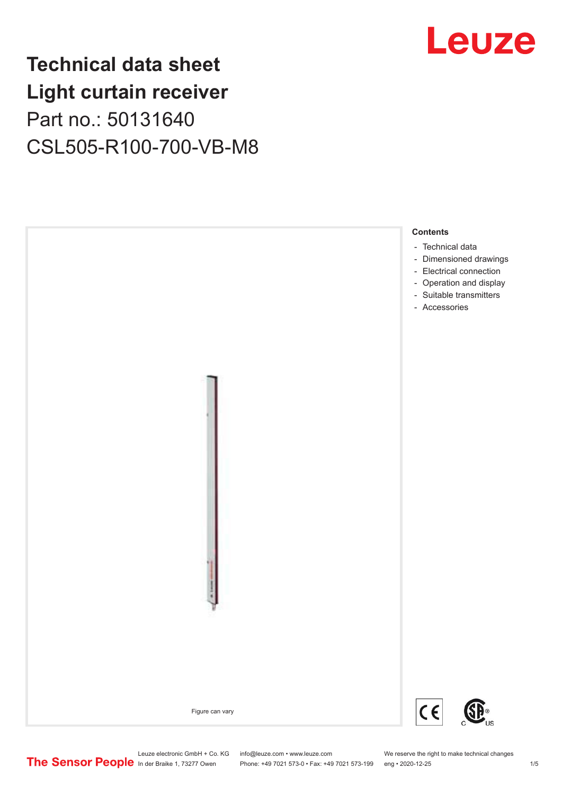### **Technical data sheet Light curtain receiver** Part no.: 50131640 CSL505-R100-700-VB-M8





Leuze electronic GmbH + Co. KG info@leuze.com • www.leuze.com We reserve the right to make technical changes<br>
The Sensor People in der Braike 1, 73277 Owen Phone: +49 7021 573-0 • Fax: +49 7021 573-199 eng • 2020-12-25

Phone: +49 7021 573-0 • Fax: +49 7021 573-199 eng • 2020-12-25 1 /5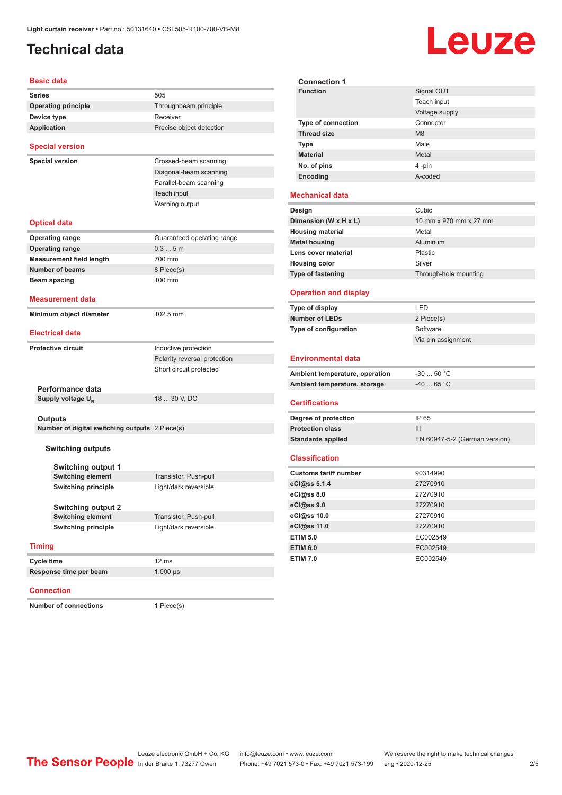### <span id="page-1-0"></span>**Technical data**

# Leuze

**Signal OUT** 

| <b>Basic data</b>                                     |                              | <b>Connection 1</b>            |                      |
|-------------------------------------------------------|------------------------------|--------------------------------|----------------------|
| <b>Series</b>                                         | 505                          | <b>Function</b>                | Signal OU1           |
| <b>Operating principle</b>                            | Throughbeam principle        |                                | Teach input          |
| Device type                                           | Receiver                     |                                | Voltage sup          |
| <b>Application</b>                                    | Precise object detection     | <b>Type of connection</b>      | Connector            |
|                                                       |                              | <b>Thread size</b>             | M <sub>8</sub>       |
| <b>Special version</b>                                |                              | <b>Type</b>                    | Male                 |
| <b>Special version</b>                                | Crossed-beam scanning        | <b>Material</b>                | Metal                |
|                                                       | Diagonal-beam scanning       | No. of pins                    | 4 -pin               |
|                                                       | Parallel-beam scanning       | Encoding                       | A-coded              |
|                                                       | Teach input                  |                                |                      |
|                                                       | Warning output               | <b>Mechanical data</b>         |                      |
|                                                       |                              | Design                         | Cubic                |
| <b>Optical data</b>                                   |                              | Dimension (W x H x L)          | 10 mm x 97           |
|                                                       |                              | <b>Housing material</b>        | Metal                |
| <b>Operating range</b>                                | Guaranteed operating range   | <b>Metal housing</b>           | Aluminum             |
| <b>Operating range</b>                                | 0.35m                        | Lens cover material            | Plastic              |
| <b>Measurement field length</b>                       | 700 mm                       | <b>Housing color</b>           | Silver               |
| <b>Number of beams</b>                                | 8 Piece(s)                   | Type of fastening              | Through-ho           |
| <b>Beam spacing</b>                                   | 100 mm                       |                                |                      |
| <b>Measurement data</b>                               |                              | <b>Operation and display</b>   |                      |
|                                                       |                              | Type of display                | LED                  |
| Minimum object diameter                               | 102.5 mm                     | <b>Number of LEDs</b>          | 2 Piece(s)           |
| <b>Electrical data</b>                                |                              | Type of configuration          | Software             |
|                                                       |                              |                                | Via pin ass          |
| <b>Protective circuit</b>                             | Inductive protection         |                                |                      |
|                                                       | Polarity reversal protection | <b>Environmental data</b>      |                      |
|                                                       | Short circuit protected      | Ambient temperature, operation | $-3050$ °            |
|                                                       |                              | Ambient temperature, storage   | $-4065$ $^{\circ}$ ( |
| Performance data                                      |                              |                                |                      |
| Supply voltage $U_{\rm B}$                            | 18  30 V, DC                 | <b>Certifications</b>          |                      |
| <b>Outputs</b>                                        |                              | Degree of protection           | IP 65                |
| Number of digital switching outputs 2 Piece(s)        |                              | <b>Protection class</b>        | III                  |
|                                                       |                              | <b>Standards applied</b>       | EN 60947-            |
| <b>Switching outputs</b>                              |                              |                                |                      |
|                                                       |                              | <b>Classification</b>          |                      |
| <b>Switching output 1</b>                             |                              | <b>Customs tariff number</b>   | 90314990             |
| <b>Switching element</b>                              | Transistor, Push-pull        | eCl@ss 5.1.4                   | 27270910             |
| <b>Switching principle</b>                            | Light/dark reversible        | eCl@ss 8.0                     | 27270910             |
|                                                       |                              | eCl@ss 9.0                     | 27270910             |
| <b>Switching output 2</b><br><b>Switching element</b> | Transistor, Push-pull        | eCl@ss 10.0                    | 27270910             |
| <b>Switching principle</b>                            | Light/dark reversible        | eCl@ss 11.0                    | 27270910             |
|                                                       |                              | <b>ETIM 5.0</b>                | EC002549             |
| <b>Timing</b>                                         |                              | <b>ETIM 6.0</b>                | EC002549             |
|                                                       |                              | <b>ETIM 7.0</b>                | EC002549             |
| Cycle time                                            | 12 ms                        |                                |                      |
| Response time per beam                                | $1,000 \,\mu s$              |                                |                      |

#### **Connection**

**Number of connections** 1 Piece(s)

|                                | Teach input                   |
|--------------------------------|-------------------------------|
|                                | Voltage supply                |
| <b>Type of connection</b>      | Connector                     |
| <b>Thread size</b>             | M <sub>8</sub>                |
| <b>Type</b>                    | Male                          |
| <b>Material</b>                | Metal                         |
| No. of pins                    | 4-pin                         |
| Encoding                       | A-coded                       |
| <b>Mechanical data</b>         |                               |
| Design                         | Cubic                         |
| Dimension (W x H x L)          | 10 mm x 970 mm x 27 mm        |
| <b>Housing material</b>        | Metal                         |
| <b>Metal housing</b>           | Aluminum                      |
| Lens cover material            | Plastic                       |
| <b>Housing color</b>           | Silver                        |
| <b>Type of fastening</b>       | Through-hole mounting         |
| <b>Operation and display</b>   |                               |
| Type of display                | LED                           |
| <b>Number of LEDs</b>          | 2 Piece(s)                    |
| Type of configuration          | Software                      |
|                                | Via pin assignment            |
| <b>Environmental data</b>      |                               |
| Ambient temperature, operation | $-3050 °C$                    |
| Ambient temperature, storage   | $-40$ 65 °C                   |
|                                |                               |
| <b>Certifications</b>          |                               |
| Degree of protection           | IP 65                         |
| <b>Protection class</b>        | Ш                             |
| <b>Standards applied</b>       | EN 60947-5-2 (German version) |
| <b>Classification</b>          |                               |
| <b>Customs tariff number</b>   | 90314990                      |
| eCl@ss 5.1.4                   | 27270910                      |
| eCl@ss 8.0                     | 27270910                      |
| eCl@ss 9.0                     | 27270910                      |
| eCl@ss 10.0                    | 27270910                      |
| eCl@ss 11.0                    | 27270910                      |
| <b>ETIM 5.0</b>                | EC002549                      |

**Connection 1**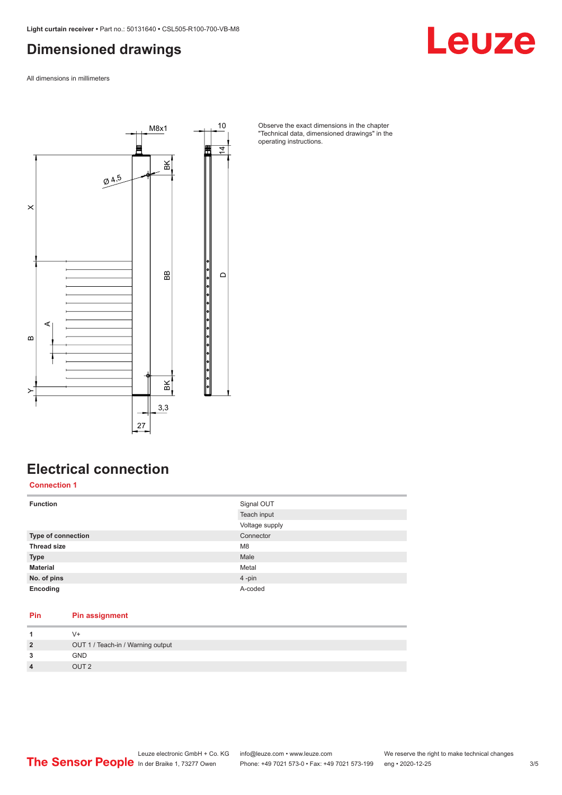#### <span id="page-2-0"></span>**Dimensioned drawings**

Leuze

All dimensions in millimeters



Observe the exact dimensions in the chapter "Technical data, dimensioned drawings" in the operating instructions.

### **Electrical connection**

**Connection 1**

| <b>Function</b>           | Signal OUT     |
|---------------------------|----------------|
|                           | Teach input    |
|                           | Voltage supply |
| <b>Type of connection</b> | Connector      |
| <b>Thread size</b>        | M <sub>8</sub> |
| <b>Type</b>               | Male           |
| <b>Material</b>           | Metal          |
| No. of pins               | 4-pin          |
| Encoding                  | A-coded        |

#### **Pin Pin assignment**

| $\overline{2}$          | OUT 1 / Teach-in / Warning output |
|-------------------------|-----------------------------------|
| 3                       | <b>GND</b>                        |
| $\overline{\mathbf{A}}$ | OUT <sub>2</sub>                  |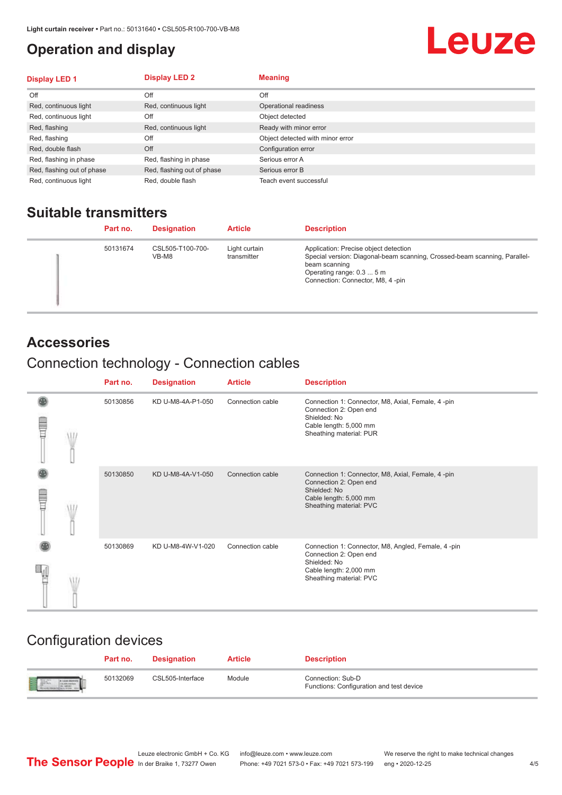#### <span id="page-3-0"></span>**Operation and display**

## Leuze

| <b>Display LED 1</b>       | <b>Display LED 2</b>       | <b>Meaning</b>                   |
|----------------------------|----------------------------|----------------------------------|
| Off                        | Off                        | Off                              |
| Red, continuous light      | Red, continuous light      | Operational readiness            |
| Red, continuous light      | Off                        | Object detected                  |
| Red, flashing              | Red, continuous light      | Ready with minor error           |
| Red, flashing              | Off                        | Object detected with minor error |
| Red, double flash          | Off                        | Configuration error              |
| Red, flashing in phase     | Red, flashing in phase     | Serious error A                  |
| Red, flashing out of phase | Red, flashing out of phase | Serious error B                  |
| Red, continuous light      | Red, double flash          | Teach event successful           |

#### **Suitable transmitters**

| Part no. | <b>Designation</b>        | <b>Article</b>               | <b>Description</b>                                                                                                                                                                                   |
|----------|---------------------------|------------------------------|------------------------------------------------------------------------------------------------------------------------------------------------------------------------------------------------------|
| 50131674 | CSL505-T100-700-<br>VB-M8 | Light curtain<br>transmitter | Application: Precise object detection<br>Special version: Diagonal-beam scanning, Crossed-beam scanning, Parallel-<br>beam scanning<br>Operating range: 0.3  5 m<br>Connection: Connector, M8, 4-pin |

#### **Accessories**

### Connection technology - Connection cables

|   | Part no. | <b>Designation</b> | <b>Article</b>   | <b>Description</b>                                                                                                                                |
|---|----------|--------------------|------------------|---------------------------------------------------------------------------------------------------------------------------------------------------|
| Ī | 50130856 | KD U-M8-4A-P1-050  | Connection cable | Connection 1: Connector, M8, Axial, Female, 4-pin<br>Connection 2: Open end<br>Shielded: No<br>Cable length: 5,000 mm<br>Sheathing material: PUR  |
|   | 50130850 | KD U-M8-4A-V1-050  | Connection cable | Connection 1: Connector, M8, Axial, Female, 4 -pin<br>Connection 2: Open end<br>Shielded: No<br>Cable length: 5,000 mm<br>Sheathing material: PVC |
|   | 50130869 | KD U-M8-4W-V1-020  | Connection cable | Connection 1: Connector, M8, Angled, Female, 4-pin<br>Connection 2: Open end<br>Shielded: No<br>Cable length: 2,000 mm<br>Sheathing material: PVC |

#### Configuration devices

|                          | Part no. | <b>Designation</b> | <b>Article</b> | <b>Description</b>                                            |
|--------------------------|----------|--------------------|----------------|---------------------------------------------------------------|
| <b>Expertise Service</b> | 50132069 | CSL505-Interface   | Module         | Connection: Sub-D<br>Functions: Configuration and test device |